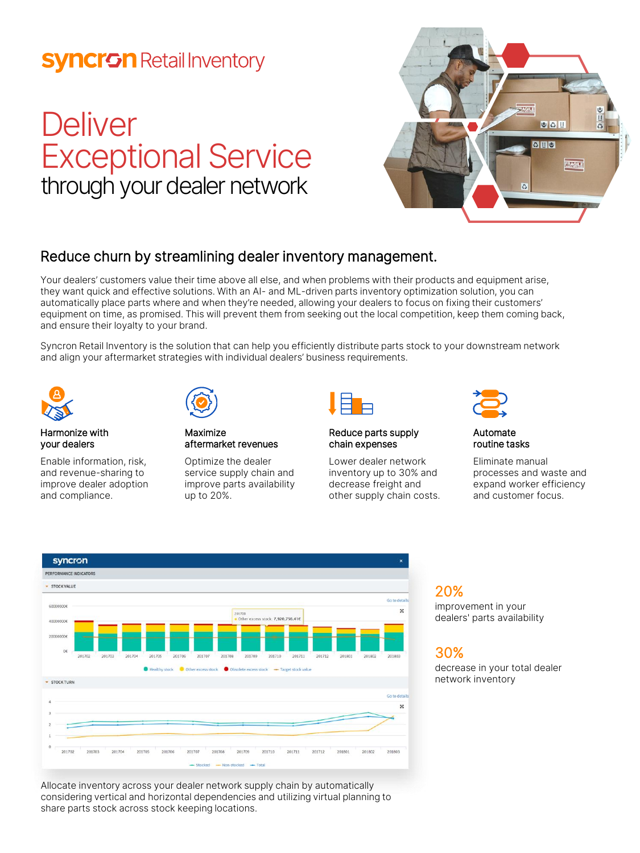# **Syncron** Retail Inventory

# **Deliver** Exceptional Service through your dealer network



### Reduce churn by streamlining dealer inventory management.

Your dealers' customers value their time above all else, and when problems with their products and equipment arise, they want quick and effective solutions. With an AI- and ML-driven parts inventory optimization solution, you can automatically place parts where and when they're needed, allowing your dealers to focus on fixing their customers' equipment on time, as promised. This will prevent them from seeking out the local competition, keep them coming back, and ensure their loyalty to your brand.

Syncron Retail Inventory is the solution that can help you efficiently distribute parts stock to your downstream network and align your aftermarket strategies with individual dealers' business requirements.



#### Harmonize with your dealers

Enable information, risk, and revenue-sharing to improve dealer adoption and compliance.



Maximize aftermarket revenues

Optimize the dealer service supply chain and improve parts availability up to 20%.



#### Reduce parts supply chain expenses

Lower dealer network inventory up to 30% and decrease freight and other supply chain costs.



Automate routine tasks

Eliminate manual processes and waste and expand worker efficiency and customer focus.



Allocate inventory across your dealer network supply chain by automatically considering vertical and horizontal dependencies and utilizing virtual planning to share parts stock across stock keeping locations.

20% improvement in your dealers' parts availability

## 30%

decrease in your total dealer network inventory